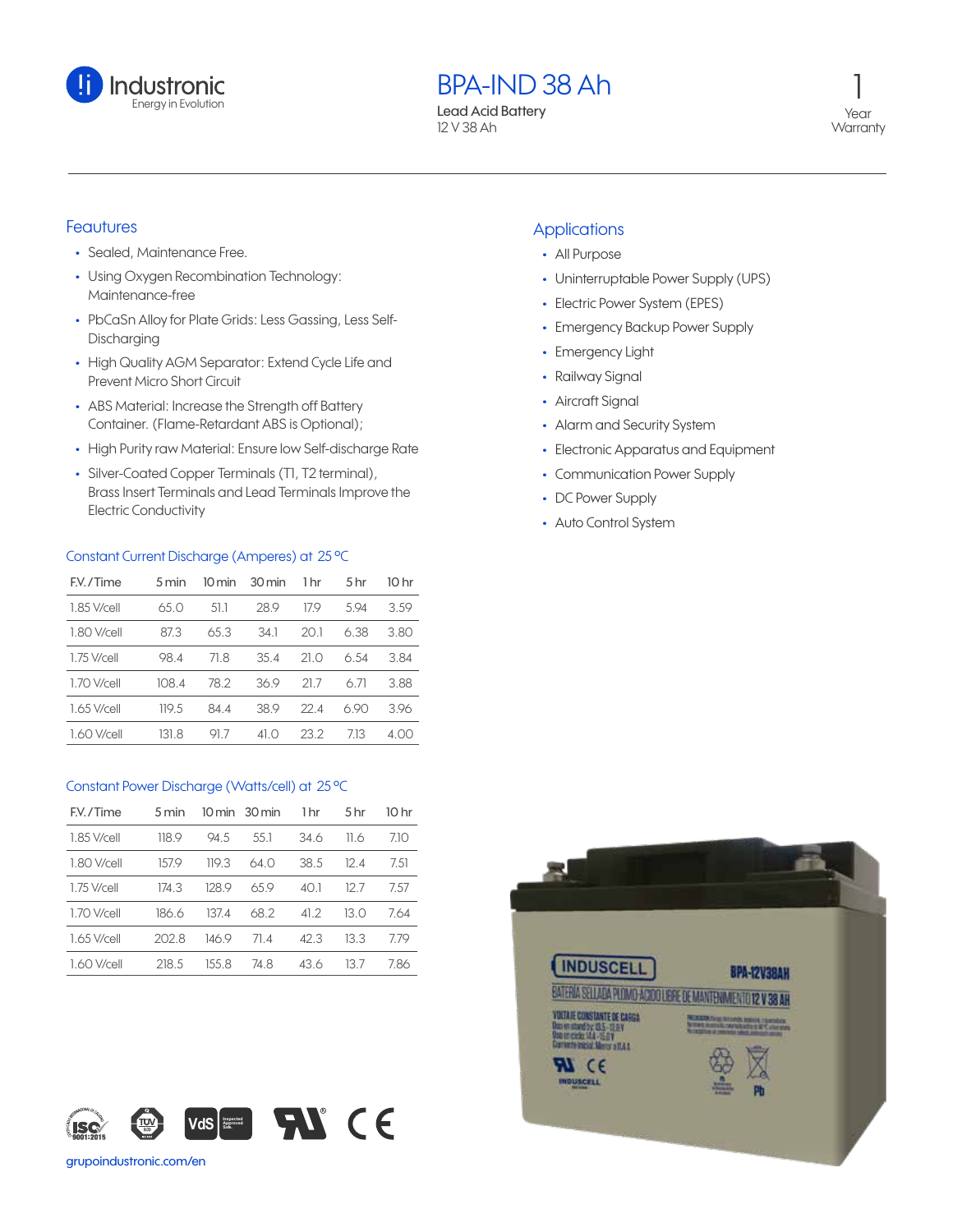

BPA-IND 38 Ah

Lead Acid Battery 12 V 38 Ah

1 Year **Warranty** 

# **Feautures**

- **•** Sealed, Maintenance Free.
- **•** Using Oxygen Recombination Technology: Maintenance-free
- **•** PbCaSn Alloy for Plate Grids: Less Gassing, Less Self-Discharging
- **•** High Quality AGM Separator: Extend Cycle Life and Prevent Micro Short Circuit
- **•** ABS Material: Increase the Strength off Battery Container. (Flame-Retardant ABS is Optional);
- **•** High Purity raw Material: Ensure low Self-discharge Rate
- **•** Silver-Coated Copper Terminals (T1, T2 terminal), Brass Insert Terminals and Lead Terminals Improve the Electric Conductivity

## Constant Current Discharge (Amperes) at 25 ºC

| F.V./Time     | $5 \,\mathrm{min}$ | 10 min | 30 min | 1 hr | 5 <sub>hr</sub> | 10 hr |
|---------------|--------------------|--------|--------|------|-----------------|-------|
| 1.85 V/cell   | 65.0               | 51.1   | 28.9   | 179  | 594             | 3.59  |
| 1.80 V/cell   | 87.3               | 65.3   | 34.1   | 20.1 | 6.38            | 3.80  |
| $1.75$ V/cell | 98.4               | 71.8   | 35.4   | 21 O | 6.54            | 3.84  |
| 1.70 V/cell   | 108.4              | 78.2   | 36.9   | 21.7 | 6.71            | 3.88  |
| 1.65 V/cell   | 119.5              | 84.4   | 38.9   | 22.4 | 690             | 396   |
| 1.60 V/cell   | 131.8              | 917    | 41 O   | 23.2 | 713             | 400   |

### Constant Power Discharge (Watts/cell) at 25 ºC

| F.V./Time   | 5 min |       | $10 \text{ min}$ 30 min | 1 <sub>hr</sub> | 5 <sub>hr</sub> | 10 hr |
|-------------|-------|-------|-------------------------|-----------------|-----------------|-------|
| 1.85 V/cell | 118.9 | 94.5  | 55.1                    | 34.6            | 11.6            | 710   |
| 1.80 V/cell | 157.9 | 119.3 | 64.0                    | 38.5            | 124             | 7.51  |
| 1.75 V/cell | 174.3 | 128.9 | 659                     | 40 I            | 12 7            | 757   |
| 1.70 V/cell | 186.6 | 1374  | 68.2                    | 41.2            | 13 O            | 764   |
| 1.65 V/cell | 202 B | 146.9 | 714                     | 42.3            | 13.3            | 779   |
| 1.60 V/cell | 218.5 | 155 8 | 74.8                    | 43.6            | 13 7            | 786   |



#### grupoindustronic.com/en

## **Applications**

- **•** All Purpose
- **•** Uninterruptable Power Supply (UPS)
- **•** Electric Power System (EPES)
- **•** Emergency Backup Power Supply
- **•** Emergency Light
- **•** Railway Signal
- **•** Aircraft Signal
- **•** Alarm and Security System
- **•** Electronic Apparatus and Equipment
- **•** Communication Power Supply
- **•** DC Power Supply
- **•** Auto Control System